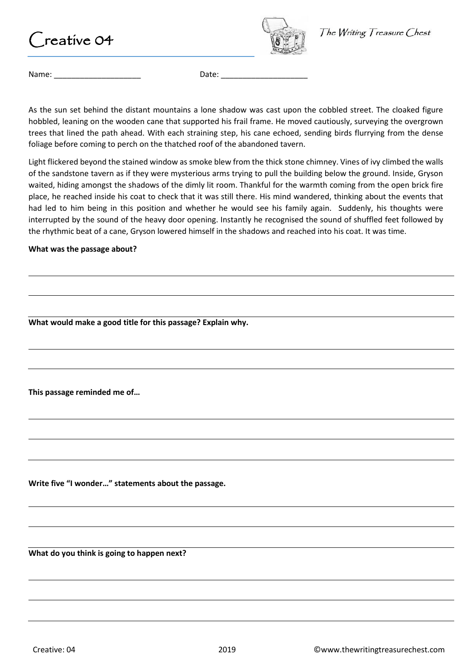## $\Gamma$ reative 04



Name: \_\_\_\_\_\_\_\_\_\_\_\_\_\_\_\_\_\_\_\_ Date: \_\_\_\_\_\_\_\_\_\_\_\_\_\_\_\_\_\_\_\_

As the sun set behind the distant mountains a lone shadow was cast upon the cobbled street. The cloaked figure hobbled, leaning on the wooden cane that supported his frail frame. He moved cautiously, surveying the overgrown trees that lined the path ahead. With each straining step, his cane echoed, sending birds flurrying from the dense foliage before coming to perch on the thatched roof of the abandoned tavern.

Light flickered beyond the stained window as smoke blew from the thick stone chimney. Vines of ivy climbed the walls of the sandstone tavern as if they were mysterious arms trying to pull the building below the ground. Inside, Gryson waited, hiding amongst the shadows of the dimly lit room. Thankful for the warmth coming from the open brick fire place, he reached inside his coat to check that it was still there. His mind wandered, thinking about the events that had led to him being in this position and whether he would see his family again. Suddenly, his thoughts were interrupted by the sound of the heavy door opening. Instantly he recognised the sound of shuffled feet followed by the rhythmic beat of a cane, Gryson lowered himself in the shadows and reached into his coat. It was time.

## **What was the passage about?**

**What would make a good title for this passage? Explain why.**

**This passage reminded me of…**

**Write five "I wonder…" statements about the passage.**

**What do you think is going to happen next?**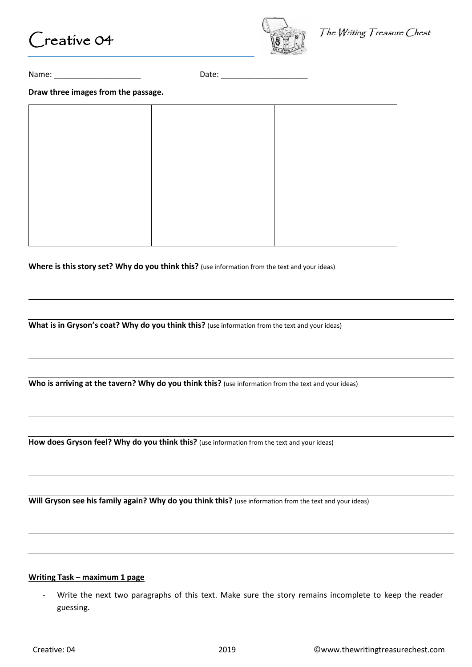



The Writing Treasure Chest

Name: \_\_\_\_\_\_\_\_\_\_\_\_\_\_\_\_\_\_\_\_ Date: \_\_\_\_\_\_\_\_\_\_\_\_\_\_\_\_\_\_\_\_

**Draw three images from the passage.**

**Where is this story set? Why do you think this?** (use information from the text and your ideas)

What is in Gryson's coat? Why do you think this? (use information from the text and your ideas)

Who is arriving at the tavern? Why do you think this? (use information from the text and your ideas)

How does Gryson feel? Why do you think this? (use information from the text and your ideas)

**Will Gryson see his family again? Why do you think this?** (use information from the text and your ideas)

## **Writing Task – maximum 1 page**

Write the next two paragraphs of this text. Make sure the story remains incomplete to keep the reader guessing.